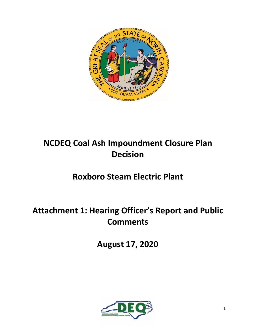

# **NCDEQ Coal Ash Impoundment Closure Plan Decision**

# **Roxboro Steam Electric Plant**

# **Attachment 1: Hearing Officer's Report and Public Comments**

**August 17, 2020**

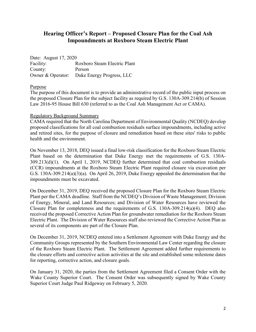# **Hearing Officer's Report – Proposed Closure Plan for the Coal Ash Impoundments at Roxboro Steam Electric Plant**

Date: August 17, 2020 Facility: Roxboro Steam Electric Plant County: Person Owner & Operator: Duke Energy Progress, LLC

# Purpose

The purpose of this document is to provide an administrative record of the public input process on the proposed Closure Plan for the subject facility as required by G.S. 130A-309.214(b) of Session Law 2016-95 House Bill 630 (referred to as the Coal Ash Management Act or CAMA).

# Regulatory Background Summary

CAMA required that the North Carolina Department of Environmental Quality (NCDEQ) develop proposed classifications for all coal combustion residuals surface impoundments, including active and retired sites, for the purpose of closure and remediation based on these sites' risks to public health and the environment.

On November 13, 2018, DEQ issued a final low-risk classification for the Roxboro Steam Electric Plant based on the determination that Duke Energy met the requirements of G.S. 130A-309.213(d)(1). On April 1, 2019, NCDEQ further determined that coal combustion residuals (CCR) impoundments at the Roxboro Steam Electric Plant required closure via excavation per G.S. 130A-309.214(a)(3)(a). On April 26, 2019, Duke Energy appealed the determination that the impoundments must be excavated.

On December 31, 2019, DEQ received the proposed Closure Plan for the Roxboro Steam Electric Plant per the CAMA deadline. Staff from the NCDEQ's Division of Waste Management; Division of Energy, Mineral, and Land Resources; and Division of Water Resources have reviewed the Closure Plan for completeness and the requirements of G.S. 130A-309.214(a)(4). DEQ also received the proposed Corrective Action Plan for groundwater remediation for the Roxboro Steam Electric Plant. The Division of Water Resources staff also reviewed the Corrective Action Plan as several of its components are part of the Closure Plan.

On December 31, 2019, NCDEQ entered into a Settlement Agreement with Duke Energy and the Community Groups represented by the Southern Environmental Law Center regarding the closure of the Roxboro Steam Electric Plant. The Settlement Agreement added further requirements to the closure efforts and corrective action activities at the site and established some milestone dates for reporting, corrective action, and closure goals.

On January 31, 2020, the parties from the Settlement Agreement filed a Consent Order with the Wake County Superior Court. The Consent Order was subsequently signed by Wake County Superior Court Judge Paul Ridgeway on February 5, 2020.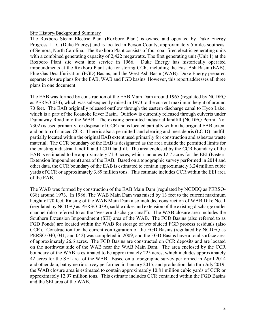## Site History/Background Summary

The Roxboro Steam Electric Plant (Roxboro Plant) is owned and operated by Duke Energy Progress, LLC (Duke Energy) and is located in Person County, approximately 5 miles southeast of Semora, North Carolina. The Roxboro Plant consists of four coal-fired electric generating units with a combined generating capacity of 2,422 megawatts. The first generating unit (Unit 1) at the Roxboro Plant site went into service in 1966. Duke Energy has historically operated impoundments at the Roxboro Plant site for storing CCR, including the East Ash Basin (EAB), Flue Gas Desulfurization (FGD) Basins, and the West Ash Basin (WAB). Duke Energy prepared separate closure plans for the EAB, WAB and FGD basins. However, this report addresses all three plans in one document.

The EAB was formed by construction of the EAB Main Dam around 1965 (regulated by NCDEQ as PERSO-033), which was subsequently raised in 1973 to the current maximum height of around 70 feet. The EAB originally released outflow through the eastern discharge canal to Hyco Lake, which is a part of the Roanoke River Basin. Outflow is currently released through culverts under Dunnaway Road into the WAB. The existing permitted industrial landfill (NCDEQ Permit No. 7302) is used primarily for disposal of CCR and is located partially within the original EAB extent and on top of sluiced CCR. There is also a permitted land clearing and inert debris (LCID) landfill partially located within the original EAB extent used primarily for construction and asbestos waste material. The CCR boundary of the EAB is designated as the area outside the permitted limits for the existing industrial landfill and LCID landfill. The area enclosed by the CCR boundary of the EAB is estimated to be approximately 71.3 acres, which includes 12.7 acres for the EEI (Eastern Extension Impoundment) area of the EAB. Based on a topographic survey performed in 2014 and other data, the CCR boundary of the EAB is estimated to contain approximately 3.24 million cubic yards of CCR or approximately 3.89 million tons. This estimate includes CCR within the EEI area of the EAB.

The WAB was formed by construction of the EAB Main Dam (regulated by NCDEQ as PERSO-038) around 1973. In 1986, The WAB Main Dam was raised by 13 feet to the current maximum height of 70 feet. Raising of the WAB Main Dam also included construction of WAB Dike No. 1 (regulated by NCDEQ as PERSO-039), saddle dikes and extension of the existing discharge outlet channel (also referred to as the "western discharge canal"). The WAB closure area includes the Southern Extension Impoundment (SEI) area of the WAB. The FGD Basins (also referred to as FGD Ponds) are located within the WAB for storage of wet sluiced FGD process residuals (also CCR). Construction for the current configuration of the FGD Basins (regulated by NCDEQ as PERSO-040, 041, and 042) was completed in 2009, and the FGD Basins have a total surface area of approximately 26.6 acres. The FGD Basins are constructed on CCR deposits and are located on the northwest side of the WAB near the WAB Main Dam. The area enclosed by the CCR boundary of the WAB is estimated to be approximately 225 acres, which includes approximately 42 acres for the SEI area of the WAB. Based on a topographic survey performed in April 2014 and other data, bathymetric survey performed in January 2015, and production data thru July 2019, the WAB closure area is estimated to contain approximately 10.81 million cubic yards of CCR or approximately 12.97 million tons. This estimate includes CCR contained within the FGD Basins and the SEI area of the WAB.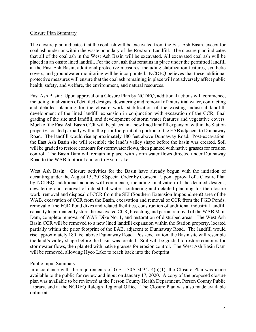### Closure Plan Summary

The closure plan indicates that the coal ash will be excavated from the East Ash Basin, except for coal ash under or within the waste boundary of the Roxboro Landfill. The closure plan indicates that all of the coal ash in the West Ash Basin will be excavated. All excavated coal ash will be placed in an onsite lined landfill. For the coal ash that remains in place under the permitted landfill at the East Ash Basin, additional protective measures, including stabilization features, synthetic covers, and groundwater monitoring will be incorporated. NCDEQ believes that these additional protective measures will ensure that the coal ash remaining in place will not adversely affect public health, safety, and welfare, the environment, and natural resources.

East Ash Basin: Upon approval of a Closure Plan by NCDEQ, additional actions will commence, including finalization of detailed designs, dewatering and removal of interstitial water, contracting and detailed planning for the closure work, stabilization of the existing industrial landfill, development of the lined landfill expansion in conjunction with excavation of the CCR, final grading of the site and landfill, and development of storm water features and vegetative covers. Much of the East Ash Basin CCR will be placed in a new lined landfill expansion within the Station property, located partially within the prior footprint of a portion of the EAB adjacent to Dunnaway Road. The landfill would rise approximately 180 feet above Dunnaway Road. Post-excavation, the East Ash Basin site will resemble the land's valley shape before the basin was created. Soil will be graded to restore contours for stormwater flows, then planted with native grasses for erosion control. The Basin Dam will remain in place, with storm water flows directed under Dunnaway Road to the WAB footprint and on to Hyco Lake.

West Ash Basin: Closure activities for the Basin have already begun with the initiation of decanting under the August 15, 2018 Special Order by Consent. Upon approval of a Closure Plan by NCDEQ, additional actions will commence, including finalization of the detailed designs, dewatering and removal of interstitial water, contracting and detailed planning for the closure work, removal and disposal of CCR from the SEI (Southern Extension Impoundment) area of the WAB, excavation of CCR from the Basin, excavation and removal of CCR from the FGD Ponds, removal of the FGD Pond dikes and related facilities, construction of additional industrial landfill capacity to permanently store the excavated CCR, breaching and partial removal of the WAB Main Dam, complete removal of WAB Dike No. 1, and restoration of disturbed areas. The West Ash Basin CCR will be removed to a new lined landfill expansion within the Station property, located partially within the prior footprint of the EAB, adjacent to Dunnaway Road. The landfill would rise approximately 180 feet above Dunnaway Road. Post-excavation, the Basin site will resemble the land's valley shape before the basin was created. Soil will be graded to restore contours for stormwater flows, then planted with native grasses for erosion control. The West Ash Basin Dam will be removed, allowing Hyco Lake to reach back into the footprint.

# Public Input Summary

In accordance with the requirements of G.S.  $130A-309.214(b)(1)$ , the Closure Plan was made available to the public for review and input on January 17, 2020. A copy of the proposed closure plan was available to be reviewed at the Person County Health Department, Person County Public Library, and at the NCDEQ Raleigh Regional Office. The Closure Plan was also made available online at: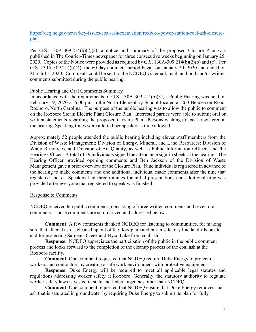[https://deq.nc.gov/news/key-issues/coal-ash-excavation/roxboro-power-station-coal-ash-closure](https://deq.nc.gov/news/key-issues/coal-ash-excavation/roxboro-power-station-coal-ash-closure-plan)[plan](https://deq.nc.gov/news/key-issues/coal-ash-excavation/roxboro-power-station-coal-ash-closure-plan)

Per G.S. 130A-309.214(b)(2)(a), a notice and summary of the proposed Closure Plan was published in The Courier-Times newspaper for three consecutive weeks beginning on January 25, 2020. Copies of the Notice were provided as required by G.S. 130A-309.214(b)(2)(b) and (c). Per G.S. 130A-309.214(b)(4), the 60-day comment period began on January 20, 2020 and ended on March 11, 2020. Comments could be sent to the NCDEQ via email, mail, and oral and/or written comments submitted during the public hearing.

# Public Hearing and Oral Comments Summary

In accordance with the requirements of G.S. 130A-309.214(b)(3), a Public Hearing was held on February 19, 2020 at 6:00 pm in the North Elementary School located at 260 Henderson Road, Roxboro, North Carolina. The purpose of the public hearing was to allow the public to comment on the Roxboro Steam Electric Plant Closure Plan. Interested parties were able to submit oral or written statements regarding the proposed Closure Plan. Persons wishing to speak registered at the hearing. Speaking times were allotted per speaker as time allowed.

Approximately 52 people attended the public hearing including eleven staff members from the Division of Waste Management; Division of Energy, Mineral, and Land Resources; Division of Water Resources, and Division of Air Quality, as well as Public Information Officers and the Hearing Officer. A total of 39 individuals signed the attendance sign-in sheets at the hearing. The Hearing Officer provided opening comments and Ben Jackson of the Division of Waste Management gave a brief overview of the Closure Plan. Nine individuals registered in advance of the hearing to make comments and one additional individual made comments after the nine that registered spoke. Speakers had three minutes for initial presentations and additional time was provided after everyone that registered to speak was finished.

# Response to Comments

NCDEQ received ten public comments, consisting of three written comments and seven oral comments. Those comments are summarized and addressed below.

**Comment**: A few comments thanked NCDEQ for listening to communities, for making sure that all coal ash is cleaned up out of the floodplain and put in safe, dry line landfills onsite, and for protecting Sargents Creek and Hyco Lake from coal ash.

**Response:** NCDEQ appreciates the participation of the public in the public comment process and looks forward to the completion of the cleanup process of the coal ash at the Roxboro facility.

**Comment**: One comment requested that NCDEQ require Duke Energy to protect its workers and contractors by creating a safe work environment with protective equipment.

**Response**: Duke Energy will be required to meet all applicable legal statutes and regulations addressing worker safety at Roxboro. Generally, the statutory authority to regulate worker safety laws is vested in state and federal agencies other than NCDEQ.

**Comment**: One comment requested that NCDEQ ensure that Duke Energy removes coal ash that is saturated in groundwater by requiring Duke Energy to submit its plan for fully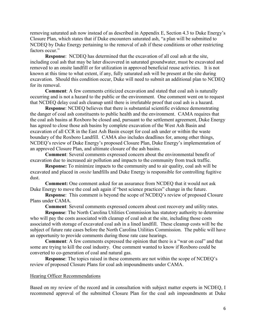removing saturated ash now instead of as described in Appendix E, Section 4.3 to Duke Energy's Closure Plan, which states that if Duke encounters saturated ash, "a plan will be submitted to NCDEQ by Duke Energy pertaining to the removal of ash if these conditions or other restricting factors occur."

**Response**: NCDEQ has determined that the excavation of all coal ash at the site, including coal ash that may be later discovered in saturated groundwater, must be excavated and removed to an onsite landfill or for utilization in approved beneficial reuse activities. It is not known at this time to what extent, if any, fully saturated ash will be present at the site during excavation. Should this condition occur, Duke will need to submit an additional plan to NCDEQ for its removal.

**Comment**: A few comments criticized excavation and stated that coal ash is naturally occurring and is not a hazard to the public or the environment. One comment went on to request that NCDEQ delay coal ash cleanup until there is irrefutable proof that coal ash is a hazard.

**Response**: NCDEQ believes that there is substantial scientific evidence demonstrating the danger of coal ash constituents to public health and the environment. CAMA requires that the coal ash basins at Roxboro be closed and, pursuant to the settlement agreement, Duke Energy has agreed to close those ash basins by complete excavation of the West Ash Basin and excavation of all CCR in the East Ash Basin except for coal ash under or within the waste boundary of the Roxboro Landfill. CAMA also includes deadlines for, among other things, NCDEQ's review of Duke Energy's proposed Closure Plan, Duke Energy's implementation of an approved Closure Plan, and ultimate closure of the ash basins.

**Comment**: Several comments expressed concern about the environmental benefit of excavation due to increased air pollution and impacts to the community from truck traffic.

**Response:** To minimize impacts to the community and to air quality, coal ash will be excavated and placed in *onsite* landfills and Duke Energy is responsible for controlling fugitive dust.

**Comment:** One comment asked for an assurance from NCDEQ that it would not ask Duke Energy to move the coal ash again if "best science practices" change in the future.

**Response**: This comment is beyond the scope of NCDEQ's review of proposed Closure Plans under CAMA.

**Comment**: Several comments expressed concern about cost recovery and utility rates.

**Response**: The North Carolina Utilities Commission has statutory authority to determine who will pay the costs associated with cleanup of coal ash at the site, including those costs associated with storage of excavated coal ash in a lined landfill. These cleanup costs will be the subject of future rate cases before the North Carolina Utilities Commission. The public will have an opportunity to provide comments during those rate case hearings.

**Comment**: A few comments expressed the opinion that there is a "war on coal" and that some are trying to kill the coal industry. One comment wanted to know if Roxboro could be converted to co-generation of coal and natural gas.

**Response**: The topics raised in these comments are not within the scope of NCDEQ's review of proposed Closure Plans for coal ash impoundments under CAMA.

### Hearing Officer Recommendations

Based on my review of the record and in consultation with subject matter experts in NCDEQ, I recommend approval of the submitted Closure Plan for the coal ash impoundments at Duke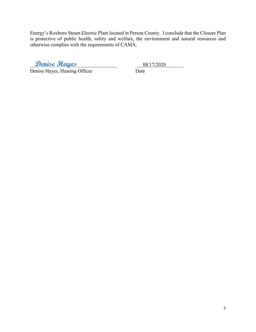Energy's Roxboro Steam Electric Plant located in Person County. I conclude that the Closure Plan is protective of public health, safety and welfare, the environment and natural resources and otherwise complies with the requirements of CAMA.

\_\_**Denise Hayes**\_\_\_\_\_\_\_\_\_\_\_\_\_\_\_\_ \_\_\_08/17/2020\_\_\_\_\_\_\_

Denise Hayes, Hearing Officer Date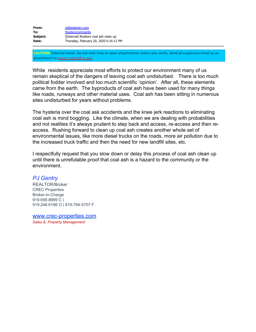| From:    | pi@pjgentry.com                        |
|----------|----------------------------------------|
| To:      | <b>Roxborocomments</b>                 |
| Subject: | [External] Roxboro coal ash clean up   |
| Date:    | Thursday, February 20, 2020 6:16:12 PM |

**CAUTION:** External email. Do not click links or open attachments unless you verify. Send all suspicious email as an attachment to [report.spam@nc.gov](mailto:report.spam@nc.gov)

While residents appreciate most efforts to protect our environment many of us remain skeptical of the dangers of leaving coal ash undisturbed. There is too much political fodder involved and too much scientific 'opinion'. After all, these elements came from the earth. The byproducts of coal ash have been used for many things like roads, runways and other material uses. Coal ash has been sitting in numerous sites undisturbed for years without problems.

The hysteria over the coal ask accidents and the knee jerk reactions to eliminating coal ash is mind boggling. Like the climate, when we are dealing with probabilities and not realities it's always prudent to step back and access, re-access and then reaccess. Rushing forward to clean up coal ash creates another whole set of environmental issues, like more diesel trucks on the roads, more air pollution due to the increased truck traffic and then the need for new landfill sites, etc.

I respectfully request that you slow down or delay this process of coal ash clean up until there is unrefutable proof that coal ash is a hazard to the community or the environment.

# *PJ Gentry*

REALTOR/Broker CREC Properties Broker-in-Charge 919.656.8999 C | 919.246.6166 O | 919-794-5707 F

[www.crec-properties.com](http://www.crec-properties.com/) *Sales & Property Management*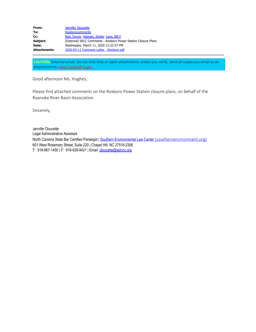| From:               | Jennifer Doucette                                              |
|---------------------|----------------------------------------------------------------|
| To:                 | <b>Roxborocomments</b>                                         |
| Cc:                 | Nick Torrey, Holman, Sheila, Lane, Bill F                      |
| Subject:            | [External] SELC Comments - Roxboro Power Station Closure Plans |
| Date:               | Wednesday, March 11, 2020 12:22:57 PM                          |
| <b>Attachments:</b> | 2020-03-11 Comment Letter - Roxboro.pdf                        |

**CAUTION:** External email. Do not click links or open attachments unless you verify. Send all suspicious email as an attachment to [report.spam@nc.gov](mailto:report.spam@nc.gov)

Good afternoon Ms. Hughes,

Please find attached comments on the Roxboro Power Station closure plans, on behalf of the Roanoke River Basin Association.

Sincerely,

Jennifer Doucette Legal Administrative Assistant North Carolina State Bar Certified Paralegal | Southern Environmental Law Center [\[southernenvironment.org\]](https://urldefense.com/v3/__http://www.southernenvironment.org/__;!!HYmSToo!NERq29RuQQ3pANvDqVjVJOWZdCrTaWxhZpIx-NwXX74Rknyz3NdlGFiYuThomHaOOOfXUbL-$) 601 West Rosemary Street, Suite 220 | Chapel Hill, NC 27516-2356 T: 919-967-1450 | F: 919-929-9421 | Email: [jdoucette@selcnc.org](mailto:jdoucette@selcnc.org)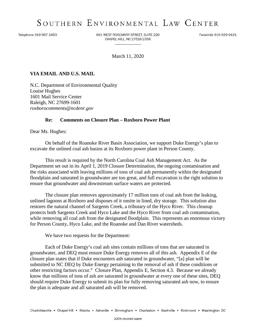# SOUTHERN ENVIRONMENTAL LAW CENTER

Telephone 919-967-1450

601 WEST ROSEMARY STREET, SUITE 220 CHAPEL HILL, NC 27516-2356

Facsimile 919-929-9421

March 11, 2020

# **VIA EMAIL AND U.S. MAIL**

N.C. Department of Environmental Quality Louise Hughes 1601 Mail Service Center Raleigh, NC 27699-1601 *roxborocomments@ncdenr.gov*

# **Re: Comments on Closure Plan – Roxboro Power Plant**

Dear Ms. Hughes:

On behalf of the Roanoke River Basin Association, we support Duke Energy's plan to excavate the unlined coal ash basins at its Roxboro power plant in Person County.

This result is required by the North Carolina Coal Ash Management Act. As the Department set out in its April 1, 2019 Closure Determination, the ongoing contamination and the risks associated with leaving millions of tons of coal ash permanently within the designated floodplain and saturated in groundwater are too great, and full excavation is the right solution to ensure that groundwater and downstream surface waters are protected.

The closure plan removes approximately 17 million tons of coal ash from the leaking, unlined lagoons at Roxboro and disposes of it onsite in lined, dry storage. This solution also restores the natural channel of Sargents Creek, a tributary of the Hyco River. This cleanup protects both Sargents Creek and Hyco Lake and the Hyco River from coal ash contamination, while removing all coal ash from the designated floodplain. This represents an enormous victory for Person County, Hyco Lake, and the Roanoke and Dan River watersheds.

We have two requests for the Department:

Each of Duke Energy's coal ash sites contain millions of tons that are saturated in groundwater, and DEQ must ensure Duke Energy removes all of this ash. Appendix E of the closure plan states that if Duke encounters ash saturated in groundwater, "[a] plan will be submitted to NC DEQ by Duke Energy pertaining to the removal of ash if these conditions or other restricting factors occur." Closure Plan, Appendix E, Section 4.3. Because we already know that millions of tons of ash are saturated in groundwater at every one of these sites, DEQ should require Duke Energy to submit its plan for fully removing saturated ash now, to ensure the plan is adequate and all saturated ash will be removed.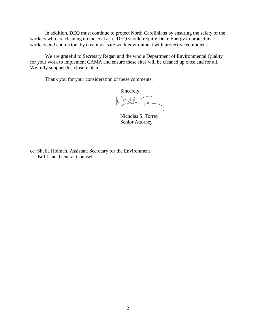In addition, DEQ must continue to protect North Carolinians by ensuring the safety of the workers who are cleaning up the coal ash. DEQ should require Duke Energy to protect its workers *and* contractors by creating a safe work environment with protective equipment.

We are grateful to Secretary Regan and the whole Department of Environmental Quality for your work to implement CAMA and ensure these sites will be cleaned up once and for all. We fully support this closure plan.

Thank you for your consideration of these comments.

Sincerely,

Willen Ton

 Nicholas S. Torrey Senior Attorney

cc: Sheila Holman, Assistant Secretary for the Environment Bill Lane, General Counsel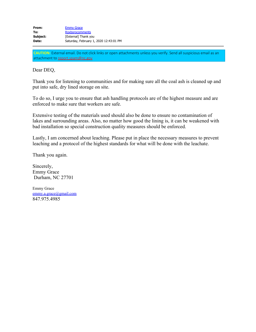| From:    | <b>Emmy Grace</b>                      |
|----------|----------------------------------------|
| To:      | <b>Roxborocomments</b>                 |
| Subject: | [External] Thank you                   |
| Date:    | Saturday, February 1, 2020 12:43:01 PM |

**CAUTION:** External email. Do not click links or open attachments unless you verify. Send all suspicious email as an attachment to [report.spam@nc.gov](mailto:report.spam@nc.gov)

# Dear DEQ,

Thank you for listening to communities and for making sure all the coal ash is cleaned up and put into safe, dry lined storage on site.

To do so, I urge you to ensure that ash handling protocols are of the highest measure and are enforced to make sure that workers are safe.

Extensive testing of the materials used should also be done to ensure no contamination of lakes and surrounding areas. Also, no matter how good the lining is, it can be weakened with bad installation so special construction quality measures should be enforced.

Lastly, I am concerned about leaching. Please put in place the necessary measures to prevent leaching and a protocol of the highest standards for what will be done with the leachate.

Thank you again.

Sincerely, Emmy Grace Durham, NC 27701

Emmy Grace [emmy.a.grace@gmail.com](mailto:emmy.a.grace@gmail.com) 847.975.4985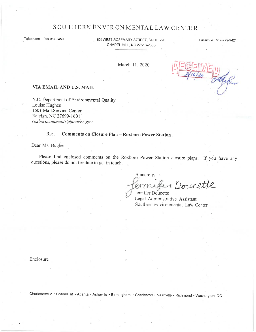# SOUTHERN ENVIRONMENTAL LAW CENTER

Telephone 919-967-1450

601WEST ROSEMARY STREET, SUITE 220 CHAPEL HILL, NC 27516-2356

Facsimile 919-929-9421

March 11, 2020

#### VIA EMAIL AND U.S. MAIL

N.C. Department of Environmental Quality Louise Hughes 1601 Mail Service Center Raleigh, NC 27699-1601 roxborocomments@ncdenr.gov

#### $Re:$ Comments on Closure Plan - Roxboro Power Station

Dear Ms. Hughes:

Please find enclosed comments on the Roxboro Power Station closure plans. If you have any questions, please do not hesitate to get in touch.

Sincerely,

1 Doucette

Jennifer Doucette Legal Administrative Assistant Southern Environmental Law Center

Enclosure

Charlottesville • Chapel Hill • Atlanta • Asheville • Birmingham • Charleston • Nashville • Richmond • Washington, DC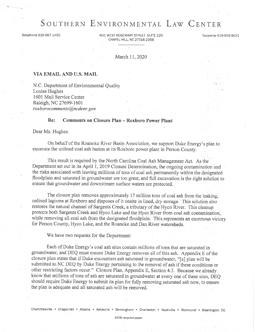# SOUTHERN ENVIRONMENTAL LAW CENTER

Telephone 919-967-1450

601 WEST ROSEMARY STREET, SUITE 220 CHAPEL HILL, NC 27516-2356

Facsimile 919-929-9421

March 11, 2020

### VIA EMAIL AND U.S. MAIL

N.C. Department of Environmental Quality Louise Hughes 1601 Mail Service Center Raleigh, NC 27699-1601 roxborocomments@ncdenr.gov

#### Re: **Comments on Closure Plan - Roxboro Power Plant**

Dear Ms. Hughes:

On behalf of the Roanoke River Basin Association, we support Duke Energy's plan to excavate the unlined coal ash basins at its Roxboro power plant in Person County.

This result is required by the North Carolina Coal Ash Management Act. As the Department set out in its April 1, 2019 Closure Determination, the ongoing contamination and the risks associated with leaving millions of tons of coal ash permanently within the designated floodplain and saturated in groundwater are too great, and full excavation is the right solution to ensure that groundwater and downstream surface waters are protected.

The closure plan removes approximately 17 million tons of coal ash from the leaking. unlined lagoons at Roxboro and disposes of it onsite in lined, dry storage. This solution also restores the natural channel of Sargents Creek, a tributary of the Hyco River. This cleanup protects both Sargents Creek and Hyco Lake and the Hyco River from coal ash contamination, while removing all coal ash from the designated floodplain. This represents an enormous victory for Person County, Hyco Lake, and the Roanoke and Dan River watersheds.

We have two requests for the Department:

Each of Duke Energy's coal ash sites contain millions of tons that are saturated in groundwater, and DEQ must ensure Duke Energy removes all of this ash. Appendix E of the closure plan states that if Duke encounters ash saturated in groundwater, "[a] plan will be submitted to NC DEQ by Duke Energy pertaining to the removal of ash if these conditions or other restricting factors occur." Closure Plan, Appendix E, Section 4.3. Because we already know that millions of tons of ash are saturated in groundwater at every one of these sites, DEQ should require Duke Energy to submit its plan for fully removing saturated ash now, to ensure the plan is adequate and all saturated ash will be removed.

100% recycled paper